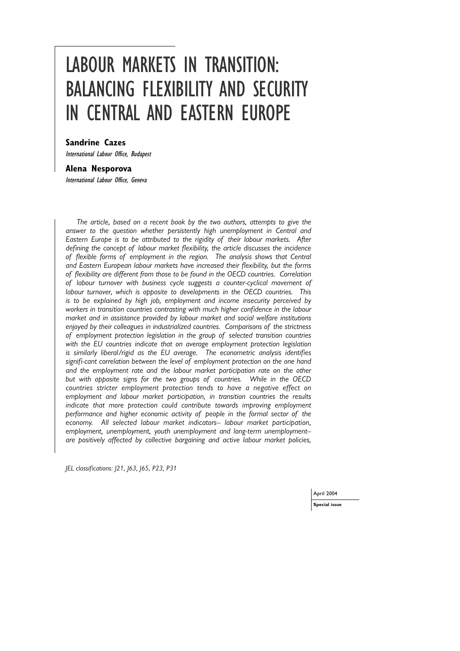# LABOUR MARKETS IN TRANSITION: BALANCING FLEXIBILITY AND SECURITY IN CENTRAL AND EASTERN EUROPE

### **Sandrine Cazes**

International Labour Office, Budapest

#### **Alena Nesporova**

International Labour Office, Geneva

*The article, based on a recent book by the two authors, attempts to give the answer to the question whether persistently high unemployment in Central and Eastern Europe is to be attributed to the rigidity of their labour markets. After defining the concept of labour market flexibility, the article discusses the incidence of flexible forms of employment in the region. The analysis shows that Central and Eastern European labour markets have increased their flexibility, but the forms of flexibility are different from those to be found in the OECD countries. Correlation of labour turnover with business cycle suggests a counter-cyclical movement of labour turnover, which is opposite to developments in the OECD countries. This is to be explained by high job, employment and income insecurity perceived by workers in transition countries contrasting with much higher confidence in the labour market and in assistance provided by labour market and social welfare institutions enjoyed by their colleagues in industrialized countries. Comparisons of the strictness of employment protection legislation in the group of selected transition countries with the EU countries indicate that on average employment protection legislation is similarly liberal/rigid as the EU average. The econometric analysis identifies signifi-cant correlation between the level of employment protection on the one hand and the employment rate and the labour market participation rate on the other but with opposite signs for the two groups of countries. While in the OECD countries stricter employment protection tends to have a negative effect on employment and labour market participation, in transition countries the results indicate that more protection could contribute towards improving employment performance and higher economic activity of people in the formal sector of the economy. All selected labour market indicators– labour market participation, employment, unemployment, youth unemployment and long-term unemployment– are positively affected by collective bargaining and active labour market policies,*

*JEL classifications: J21, J63, J65, P23, P31*

April 2004

**Special issue**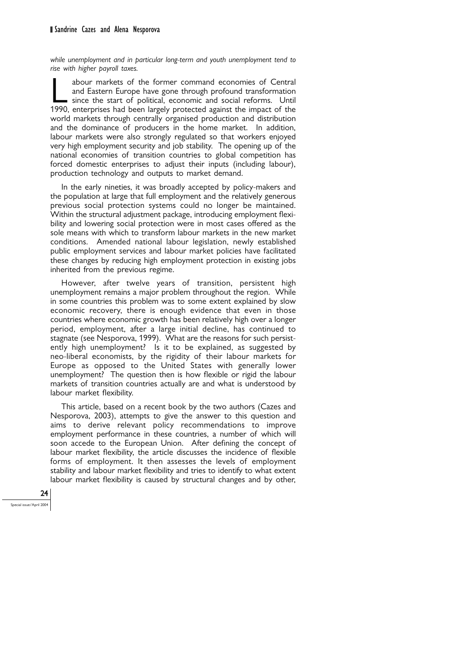*while unemployment and in particular long-term and youth unemployment tend to rise with higher payroll taxes.*

abour markets of the former command economies of Central<br>and Eastern Europe have gone through profound transformation<br>since the start of political, economic and social reforms. Until<br>1990 enterprises had been largely prote and Eastern Europe have gone through profound transformation since the start of political, economic and social reforms. Until 1990, enterprises had been largely protected against the impact of the world markets through centrally organised production and distribution and the dominance of producers in the home market. In addition, labour markets were also strongly regulated so that workers enjoyed very high employment security and job stability. The opening up of the national economies of transition countries to global competition has forced domestic enterprises to adjust their inputs (including labour), production technology and outputs to market demand.

In the early nineties, it was broadly accepted by policy-makers and the population at large that full employment and the relatively generous previous social protection systems could no longer be maintained. Within the structural adjustment package, introducing employment flexibility and lowering social protection were in most cases offered as the sole means with which to transform labour markets in the new market conditions. Amended national labour legislation, newly established public employment services and labour market policies have facilitated these changes by reducing high employment protection in existing jobs inherited from the previous regime.

However, after twelve years of transition, persistent high unemployment remains a major problem throughout the region. While in some countries this problem was to some extent explained by slow economic recovery, there is enough evidence that even in those countries where economic growth has been relatively high over a longer period, employment, after a large initial decline, has continued to stagnate (see Nesporova, 1999). What are the reasons for such persistently high unemployment? Is it to be explained, as suggested by neo-liberal economists, by the rigidity of their labour markets for Europe as opposed to the United States with generally lower unemployment? The question then is how flexible or rigid the labour markets of transition countries actually are and what is understood by labour market flexibility.

This article, based on a recent book by the two authors (Cazes and Nesporova, 2003), attempts to give the answer to this question and aims to derive relevant policy recommendations to improve employment performance in these countries, a number of which will soon accede to the European Union. After defining the concept of labour market flexibility, the article discusses the incidence of flexible forms of employment. It then assesses the levels of employment stability and labour market flexibility and tries to identify to what extent labour market flexibility is caused by structural changes and by other,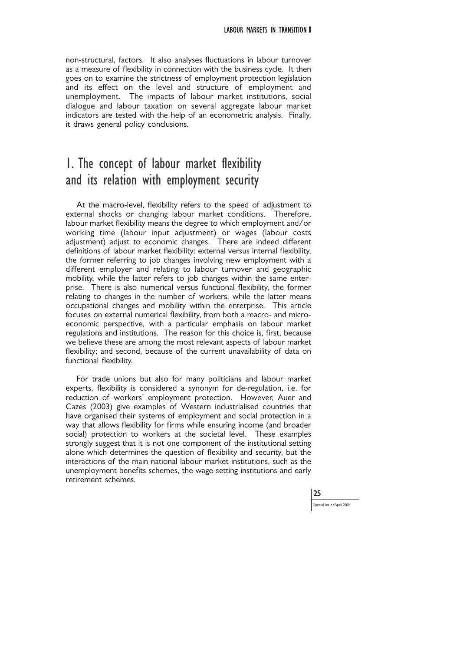non-structural, factors. It also analyses fluctuations in labour turnover as a measure of flexibility in connection with the business cycle. It then goes on to examine the strictness of employment protection legislation and its effect on the level and structure of employment and unemployment. The impacts of labour market institutions, social dialogue and labour taxation on several aggregate labour market indicators are tested with the help of an econometric analysis. Finally, it draws general policy conclusions.

# 1. The concept of labour market flexibility and its relation with employment security

At the macro-level, flexibility refers to the speed of adjustment to external shocks or changing labour market conditions. Therefore, labour market flexibility means the degree to which employment and/or working time (labour input adjustment) or wages (labour costs adjustment) adjust to economic changes. There are indeed different definitions of labour market flexibility: external versus internal flexibility, the former referring to job changes involving new employment with a different employer and relating to labour turnover and geographic mobility, while the latter refers to job changes within the same enterprise. There is also numerical versus functional flexibility, the former relating to changes in the number of workers, while the latter means occupational changes and mobility within the enterprise. This article focuses on external numerical flexibility, from both a macro- and microeconomic perspective, with a particular emphasis on labour market regulations and institutions. The reason for this choice is, first, because we believe these are among the most relevant aspects of labour market flexibility; and second, because of the current unavailability of data on functional flexibility.

For trade unions but also for many politicians and labour market experts, flexibility is considered a synonym for de-regulation, i.e. for reduction of workers' employment protection. However, Auer and Cazes (2003) give examples of Western industrialised countries that have organised their systems of employment and social protection in a way that allows flexibility for firms while ensuring income (and broader social) protection to workers at the societal level. These examples strongly suggest that it is not one component of the institutional setting alone which determines the question of flexibility and security, but the interactions of the main national labour market institutions, such as the unemployment benefits schemes, the wage-setting institutions and early retirement schemes.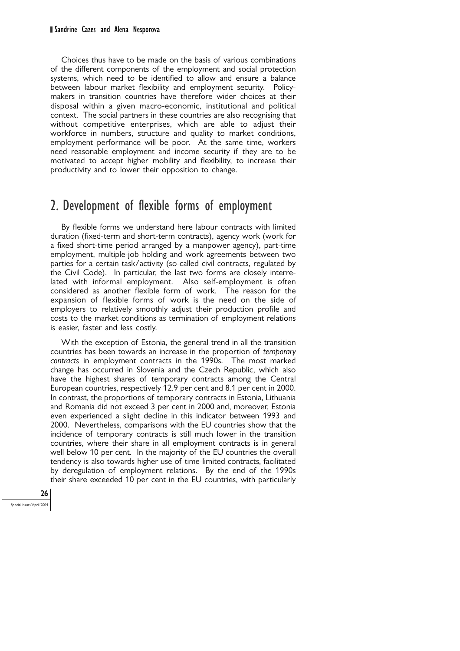Choices thus have to be made on the basis of various combinations of the different components of the employment and social protection systems, which need to be identified to allow and ensure a balance between labour market flexibility and employment security. Policymakers in transition countries have therefore wider choices at their disposal within a given macro-economic, institutional and political context. The social partners in these countries are also recognising that without competitive enterprises, which are able to adjust their workforce in numbers, structure and quality to market conditions, employment performance will be poor. At the same time, workers need reasonable employment and income security if they are to be motivated to accept higher mobility and flexibility, to increase their productivity and to lower their opposition to change.

# 2. Development of flexible forms of employment

By flexible forms we understand here labour contracts with limited duration (fixed-term and short-term contracts), agency work (work for a fixed short-time period arranged by a manpower agency), part-time employment, multiple-job holding and work agreements between two parties for a certain task/activity (so-called civil contracts, regulated by the Civil Code). In particular, the last two forms are closely interrelated with informal employment. Also self-employment is often considered as another flexible form of work. The reason for the expansion of flexible forms of work is the need on the side of employers to relatively smoothly adjust their production profile and costs to the market conditions as termination of employment relations is easier, faster and less costly.

With the exception of Estonia, the general trend in all the transition countries has been towards an increase in the proportion of *temporary contracts* in employment contracts in the 1990s. The most marked change has occurred in Slovenia and the Czech Republic, which also have the highest shares of temporary contracts among the Central European countries, respectively 12.9 per cent and 8.1 per cent in 2000. In contrast, the proportions of temporary contracts in Estonia, Lithuania and Romania did not exceed 3 per cent in 2000 and, moreover, Estonia even experienced a slight decline in this indicator between 1993 and 2000. Nevertheless, comparisons with the EU countries show that the incidence of temporary contracts is still much lower in the transition countries, where their share in all employment contracts is in general well below 10 per cent. In the majority of the EU countries the overall tendency is also towards higher use of time-limited contracts, facilitated by deregulation of employment relations. By the end of the 1990s their share exceeded 10 per cent in the EU countries, with particularly

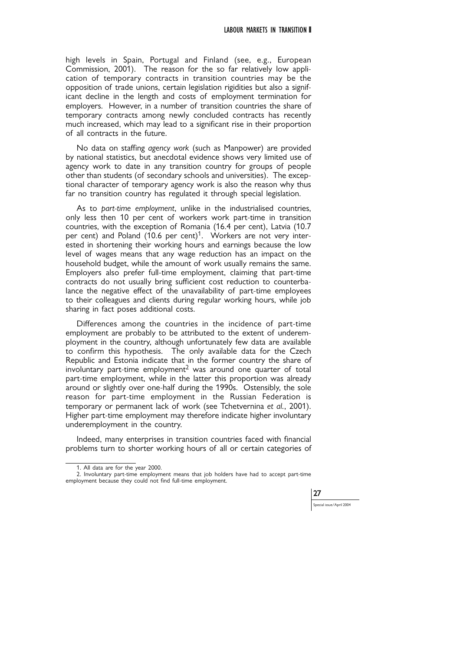high levels in Spain, Portugal and Finland (see, e.g., European Commission, 2001). The reason for the so far relatively low application of temporary contracts in transition countries may be the opposition of trade unions, certain legislation rigidities but also a significant decline in the length and costs of employment termination for employers. However, in a number of transition countries the share of temporary contracts among newly concluded contracts has recently much increased, which may lead to a significant rise in their proportion of all contracts in the future.

No data on staffing *agency work* (such as Manpower) are provided by national statistics, but anecdotal evidence shows very limited use of agency work to date in any transition country for groups of people other than students (of secondary schools and universities). The exceptional character of temporary agency work is also the reason why thus far no transition country has regulated it through special legislation.

As to *part-time employment*, unlike in the industrialised countries, only less then 10 per cent of workers work part-time in transition countries, with the exception of Romania (16.4 per cent), Latvia (10.7 per cent) and Poland (10.6 per cent)<sup>1</sup>. Workers are not very interested in shortening their working hours and earnings because the low level of wages means that any wage reduction has an impact on the household budget, while the amount of work usually remains the same. Employers also prefer full-time employment, claiming that part-time contracts do not usually bring sufficient cost reduction to counterbalance the negative effect of the unavailability of part-time employees to their colleagues and clients during regular working hours, while job sharing in fact poses additional costs.

Differences among the countries in the incidence of part-time employment are probably to be attributed to the extent of underemployment in the country, although unfortunately few data are available to confirm this hypothesis. The only available data for the Czech Republic and Estonia indicate that in the former country the share of involuntary part-time employment<sup>2</sup> was around one quarter of total part-time employment, while in the latter this proportion was already around or slightly over one-half during the 1990s. Ostensibly, the sole reason for part-time employment in the Russian Federation is temporary or permanent lack of work (see Tchetvernina *et al.*, 2001). Higher part-time employment may therefore indicate higher involuntary underemployment in the country.

Indeed, many enterprises in transition countries faced with financial problems turn to shorter working hours of all or certain categories of

<sup>2.</sup> Involuntary part-time employment means that job holders have had to accept part-time employment because they could not find full-time employment.



<sup>1.</sup> All data are for the year 2000.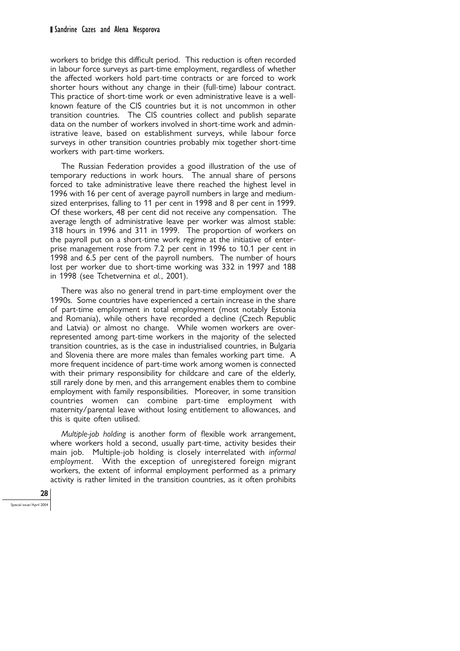workers to bridge this difficult period. This reduction is often recorded in labour force surveys as part-time employment, regardless of whether the affected workers hold part-time contracts or are forced to work shorter hours without any change in their (full-time) labour contract. This practice of short-time work or even administrative leave is a wellknown feature of the CIS countries but it is not uncommon in other transition countries. The CIS countries collect and publish separate data on the number of workers involved in short-time work and administrative leave, based on establishment surveys, while labour force surveys in other transition countries probably mix together short-time workers with part-time workers.

The Russian Federation provides a good illustration of the use of temporary reductions in work hours. The annual share of persons forced to take administrative leave there reached the highest level in 1996 with 16 per cent of average payroll numbers in large and mediumsized enterprises, falling to 11 per cent in 1998 and 8 per cent in 1999. Of these workers, 48 per cent did not receive any compensation. The average length of administrative leave per worker was almost stable: 318 hours in 1996 and 311 in 1999. The proportion of workers on the payroll put on a short-time work regime at the initiative of enterprise management rose from 7.2 per cent in 1996 to 10.1 per cent in 1998 and 6.5 per cent of the payroll numbers. The number of hours lost per worker due to short-time working was 332 in 1997 and 188 in 1998 (see Tchetvernina *et al.*, 2001).

There was also no general trend in part-time employment over the 1990s. Some countries have experienced a certain increase in the share of part-time employment in total employment (most notably Estonia and Romania), while others have recorded a decline (Czech Republic and Latvia) or almost no change. While women workers are overrepresented among part-time workers in the majority of the selected transition countries, as is the case in industrialised countries, in Bulgaria and Slovenia there are more males than females working part time. A more frequent incidence of part-time work among women is connected with their primary responsibility for childcare and care of the elderly, still rarely done by men, and this arrangement enables them to combine employment with family responsibilities. Moreover, in some transition countries women can combine part-time employment with maternity/parental leave without losing entitlement to allowances, and this is quite often utilised.

*Multiple-job holding* is another form of flexible work arrangement, where workers hold a second, usually part-time, activity besides their main job. Multiple-job holding is closely interrelated with *informal employment*. With the exception of unregistered foreign migrant workers, the extent of informal employment performed as a primary activity is rather limited in the transition countries, as it often prohibits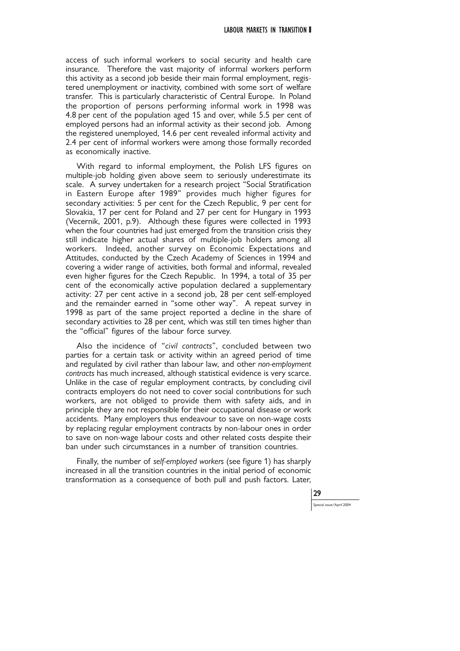access of such informal workers to social security and health care insurance. Therefore the vast majority of informal workers perform this activity as a second job beside their main formal employment, registered unemployment or inactivity, combined with some sort of welfare transfer. This is particularly characteristic of Central Europe. In Poland the proportion of persons performing informal work in 1998 was 4.8 per cent of the population aged 15 and over, while 5.5 per cent of employed persons had an informal activity as their second job. Among the registered unemployed, 14.6 per cent revealed informal activity and 2.4 per cent of informal workers were among those formally recorded as economically inactive.

With regard to informal employment, the Polish LFS figures on multiple-job holding given above seem to seriously underestimate its scale. A survey undertaken for a research project "Social Stratification in Eastern Europe after 1989" provides much higher figures for secondary activities: 5 per cent for the Czech Republic, 9 per cent for Slovakia, 17 per cent for Poland and 27 per cent for Hungary in 1993 (Vecernik, 2001, p.9). Although these figures were collected in 1993 when the four countries had just emerged from the transition crisis they still indicate higher actual shares of multiple-job holders among all workers. Indeed, another survey on Economic Expectations and Attitudes, conducted by the Czech Academy of Sciences in 1994 and covering a wider range of activities, both formal and informal, revealed even higher figures for the Czech Republic. In 1994, a total of 35 per cent of the economically active population declared a supplementary activity: 27 per cent active in a second job, 28 per cent self-employed and the remainder earned in "some other way". A repeat survey in 1998 as part of the same project reported a decline in the share of secondary activities to 28 per cent, which was still ten times higher than the "official" figures of the labour force survey.

Also the incidence of "*civil contracts*", concluded between two parties for a certain task or activity within an agreed period of time and regulated by civil rather than labour law, and other *non-employment contracts* has much increased, although statistical evidence is very scarce. Unlike in the case of regular employment contracts, by concluding civil contracts employers do not need to cover social contributions for such workers, are not obliged to provide them with safety aids, and in principle they are not responsible for their occupational disease or work accidents. Many employers thus endeavour to save on non-wage costs by replacing regular employment contracts by non-labour ones in order to save on non-wage labour costs and other related costs despite their ban under such circumstances in a number of transition countries.

Finally, the number of *self-employed workers* (see figure 1) has sharply increased in all the transition countries in the initial period of economic transformation as a consequence of both pull and push factors. Later,

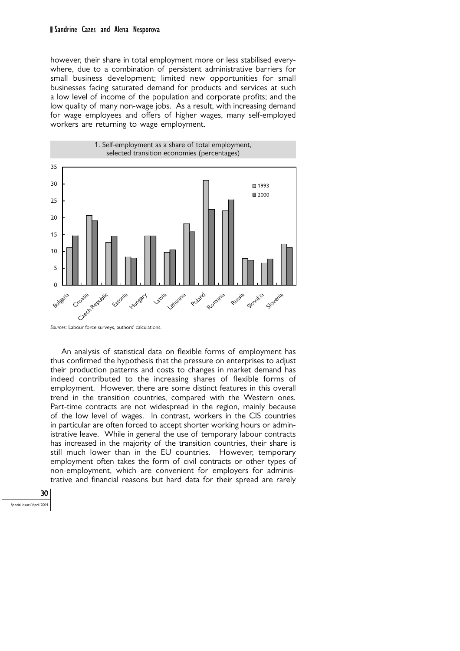#### Sandrine Cazes and Alena Nesporova

however, their share in total employment more or less stabilised everywhere, due to a combination of persistent administrative barriers for small business development; limited new opportunities for small businesses facing saturated demand for products and services at such a low level of income of the population and corporate profits; and the low quality of many non-wage jobs. As a result, with increasing demand for wage employees and offers of higher wages, many self-employed workers are returning to wage employment.



*Sources*: Labour force surveys, authors' calculations.

An analysis of statistical data on flexible forms of employment has thus confirmed the hypothesis that the pressure on enterprises to adjust their production patterns and costs to changes in market demand has indeed contributed to the increasing shares of flexible forms of employment. However, there are some distinct features in this overall trend in the transition countries, compared with the Western ones. Part-time contracts are not widespread in the region, mainly because of the low level of wages. In contrast, workers in the CIS countries in particular are often forced to accept shorter working hours or administrative leave. While in general the use of temporary labour contracts has increased in the majority of the transition countries, their share is still much lower than in the EU countries. However, temporary employment often takes the form of civil contracts or other types of non-employment, which are convenient for employers for administrative and financial reasons but hard data for their spread are rarely

30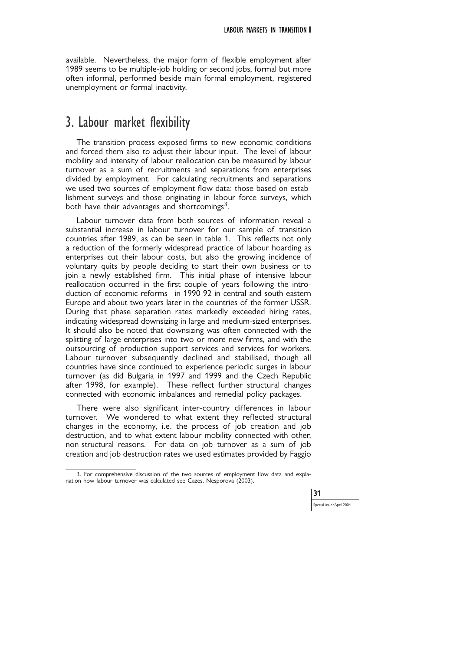available. Nevertheless, the major form of flexible employment after 1989 seems to be multiple-job holding or second jobs, formal but more often informal, performed beside main formal employment, registered unemployment or formal inactivity.

# 3. Labour market flexibility

The transition process exposed firms to new economic conditions and forced them also to adjust their labour input. The level of labour mobility and intensity of labour reallocation can be measured by labour turnover as a sum of recruitments and separations from enterprises divided by employment. For calculating recruitments and separations we used two sources of employment flow data: those based on establishment surveys and those originating in labour force surveys, which both have their advantages and shortcomings<sup>3</sup>.

Labour turnover data from both sources of information reveal a substantial increase in labour turnover for our sample of transition countries after 1989, as can be seen in table 1. This reflects not only a reduction of the formerly widespread practice of labour hoarding as enterprises cut their labour costs, but also the growing incidence of voluntary quits by people deciding to start their own business or to join a newly established firm. This initial phase of intensive labour reallocation occurred in the first couple of years following the introduction of economic reforms– in 1990-92 in central and south-eastern Europe and about two years later in the countries of the former USSR. During that phase separation rates markedly exceeded hiring rates, indicating widespread downsizing in large and medium-sized enterprises. It should also be noted that downsizing was often connected with the splitting of large enterprises into two or more new firms, and with the outsourcing of production support services and services for workers. Labour turnover subsequently declined and stabilised, though all countries have since continued to experience periodic surges in labour turnover (as did Bulgaria in 1997 and 1999 and the Czech Republic after 1998, for example). These reflect further structural changes connected with economic imbalances and remedial policy packages.

There were also significant inter-country differences in labour turnover. We wondered to what extent they reflected structural changes in the economy, i.e. the process of job creation and job destruction, and to what extent labour mobility connected with other, non-structural reasons. For data on job turnover as a sum of job creation and job destruction rates we used estimates provided by Faggio

<sup>3.</sup> For comprehensive discussion of the two sources of employment flow data and explanation how labour turnover was calculated see Cazes, Nesporova (2003).

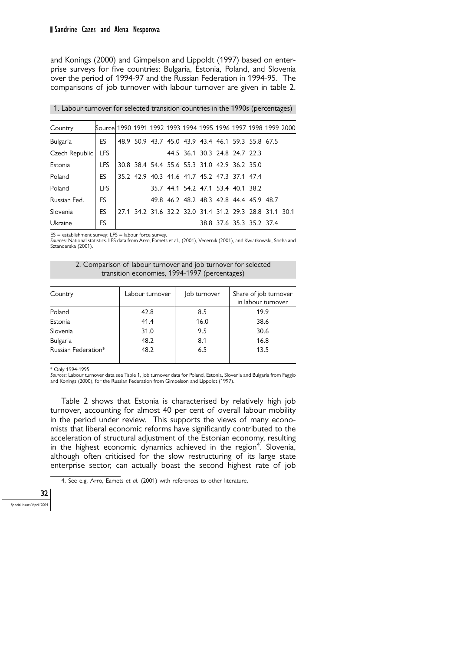and Konings (2000) and Gimpelson and Lippoldt (1997) based on enterprise surveys for five countries: Bulgaria, Estonia, Poland, and Slovenia over the period of 1994-97 and the Russian Federation in 1994-95. The comparisons of job turnover with labour turnover are given in table 2.

1. Labour turnover for selected transition countries in the 1990s (percentages)

| Country        | Source  1990  1991  1992  1993  1994  1995  1996  1997  1998  1999  2000 |  |                                                        |                                    |  |                                         |  |
|----------------|--------------------------------------------------------------------------|--|--------------------------------------------------------|------------------------------------|--|-----------------------------------------|--|
| Bulgaria       | ES.                                                                      |  | 48.9 50.9 43.7 45.0 43.9 43.4 46.1 59.3 55.8 67.5      |                                    |  |                                         |  |
| Czech Republic | <b>LFS</b>                                                               |  |                                                        | 44.5 36.1 30.3 24.8 24.7 22.3      |  |                                         |  |
| Estonia        | I FS                                                                     |  | 30.8 38.4 54.4 55.6 55.3 31.0 42.9 36.2 35.0           |                                    |  |                                         |  |
| Poland         | ES.                                                                      |  | 35 2 4 2 9 4 0 3 4 1 6 4 1 7 4 5 2 4 7 3 3 7 1 4 7 4   |                                    |  |                                         |  |
| Poland         | <b>LFS</b>                                                               |  |                                                        | 35.7 44.1 54.2 47.1 53.4 40.1 38.2 |  |                                         |  |
| Russian Fed.   | <b>ES</b>                                                                |  |                                                        |                                    |  | 49.8 46.2 48.2 48.3 42.8 44.4 45.9 48.7 |  |
| Slovenia       | <b>ES</b>                                                                |  | 27.1 34.2 31.6 32.2 32.0 31.4 31.2 29.3 28.8 31.1 30.1 |                                    |  |                                         |  |
| Ukraine        | ES                                                                       |  |                                                        |                                    |  | 38.8 37.6 35.3 35.2 37.4                |  |

 $ES =$  establishment survey; LFS = labour force survey.

*Sources*: National statistics. LFS data from Arro, Eamets et al., (2001), Vecernik (2001), and Kwiatkowski, Socha and Sztanderska (2001).

2. Comparison of labour turnover and job turnover for selected transition economies, 1994-1997 (percentages)

| Country             | Labour turnover | Job turnover | Share of job turnover<br>in labour turnover |
|---------------------|-----------------|--------------|---------------------------------------------|
| Poland              | 42.8            | 8.5          | 19.9                                        |
| Estonia             | 41.4            | 16.0         | 38.6                                        |
| Slovenia            | 31.0            | 9.5          | 30.6                                        |
| <b>Bulgaria</b>     | 48.2            | 8.1          | 16.8                                        |
| Russian Federation* | 48.2            | 6.5          | 13.5                                        |

\* Only 1994-1995.

*Sources*: Labour turnover data see Table 1, job turnover data for Poland, Estonia, Slovenia and Bulgaria from Faggio and Konings (2000), for the Russian Federation from Gimpelson and Lippoldt (1997).

Table 2 shows that Estonia is characterised by relatively high job turnover, accounting for almost 40 per cent of overall labour mobility in the period under review. This supports the views of many economists that liberal economic reforms have significantly contributed to the acceleration of structural adjustment of the Estonian economy, resulting in the highest economic dynamics achieved in the region<sup>4</sup>. Slovenia, although often criticised for the slow restructuring of its large state enterprise sector, can actually boast the second highest rate of job

4. See e.g. Arro, Eamets *et al.* (2001) with references to other literature.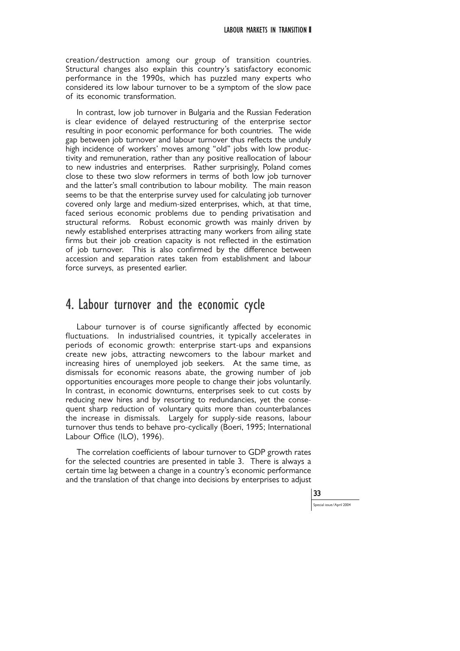creation/destruction among our group of transition countries. Structural changes also explain this country's satisfactory economic performance in the 1990s, which has puzzled many experts who considered its low labour turnover to be a symptom of the slow pace of its economic transformation.

In contrast, low job turnover in Bulgaria and the Russian Federation is clear evidence of delayed restructuring of the enterprise sector resulting in poor economic performance for both countries. The wide gap between job turnover and labour turnover thus reflects the unduly high incidence of workers' moves among "old" jobs with low productivity and remuneration, rather than any positive reallocation of labour to new industries and enterprises. Rather surprisingly, Poland comes close to these two slow reformers in terms of both low job turnover and the latter's small contribution to labour mobility. The main reason seems to be that the enterprise survey used for calculating job turnover covered only large and medium-sized enterprises, which, at that time, faced serious economic problems due to pending privatisation and structural reforms. Robust economic growth was mainly driven by newly established enterprises attracting many workers from ailing state firms but their job creation capacity is not reflected in the estimation of job turnover. This is also confirmed by the difference between accession and separation rates taken from establishment and labour force surveys, as presented earlier.

### 4. Labour turnover and the economic cycle

Labour turnover is of course significantly affected by economic fluctuations. In industrialised countries, it typically accelerates in periods of economic growth: enterprise start-ups and expansions create new jobs, attracting newcomers to the labour market and increasing hires of unemployed job seekers. At the same time, as dismissals for economic reasons abate, the growing number of job opportunities encourages more people to change their jobs voluntarily. In contrast, in economic downturns, enterprises seek to cut costs by reducing new hires and by resorting to redundancies, yet the consequent sharp reduction of voluntary quits more than counterbalances the increase in dismissals. Largely for supply-side reasons, labour turnover thus tends to behave pro-cyclically (Boeri, 1995; International Labour Office (ILO), 1996).

The correlation coefficients of labour turnover to GDP growth rates for the selected countries are presented in table 3. There is always a certain time lag between a change in a country's economic performance and the translation of that change into decisions by enterprises to adjust

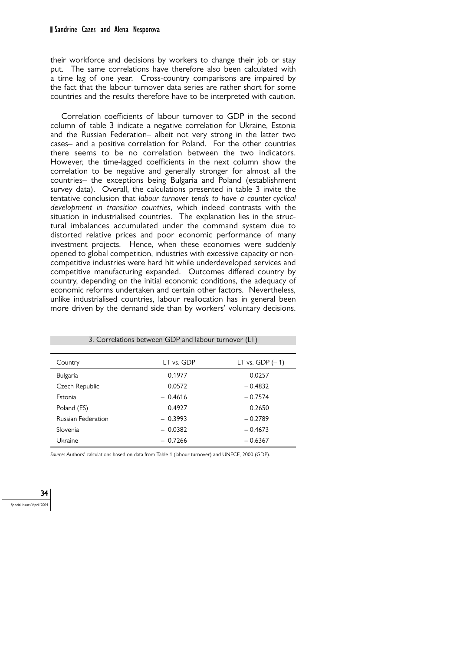#### Sandrine Cazes and Alena Nesporova

their workforce and decisions by workers to change their job or stay put. The same correlations have therefore also been calculated with a time lag of one year. Cross-country comparisons are impaired by the fact that the labour turnover data series are rather short for some countries and the results therefore have to be interpreted with caution.

Correlation coefficients of labour turnover to GDP in the second column of table 3 indicate a negative correlation for Ukraine, Estonia and the Russian Federation– albeit not very strong in the latter two cases– and a positive correlation for Poland. For the other countries there seems to be no correlation between the two indicators. However, the time-lagged coefficients in the next column show the correlation to be negative and generally stronger for almost all the countries– the exceptions being Bulgaria and Poland (establishment survey data). Overall, the calculations presented in table 3 invite the tentative conclusion that *labour turnover tends to have a counter-cyclical development in transition countries*, which indeed contrasts with the situation in industrialised countries. The explanation lies in the structural imbalances accumulated under the command system due to distorted relative prices and poor economic performance of many investment projects. Hence, when these economies were suddenly opened to global competition, industries with excessive capacity or noncompetitive industries were hard hit while underdeveloped services and competitive manufacturing expanded. Outcomes differed country by country, depending on the initial economic conditions, the adequacy of economic reforms undertaken and certain other factors. Nevertheless, unlike industrialised countries, labour reallocation has in general been more driven by the demand side than by workers' voluntary decisions.

| Country                   | LT vs. GDP | LT vs. GDP $(-1)$ |
|---------------------------|------------|-------------------|
| <b>Bulgaria</b>           | 0.1977     | 0.0257            |
| Czech Republic            | 0.0572     | $-0.4832$         |
| Estonia                   | $-0.4616$  | $-0.7574$         |
| Poland (ES)               | 0.4927     | 0.2650            |
| <b>Russian Federation</b> | $-0.3993$  | $-0.2789$         |
| Slovenia                  | $-0.0382$  | $-0.4673$         |
| Ukraine                   | $-0.7266$  | $-0.6367$         |

3. Correlations between GDP and labour turnover (LT)

*Source*: Authors' calculations based on data from Table 1 (labour turnover) and UNECE, 2000 (GDP).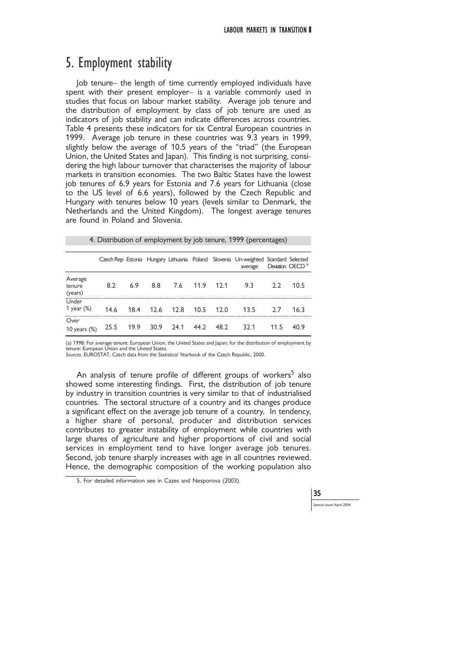# 5. Employment stability

Job tenure– the length of time currently employed individuals have spent with their present employer– is a variable commonly used in studies that focus on labour market stability. Average job tenure and the distribution of employment by class of job tenure are used as indicators of job stability and can indicate differences across countries. Table 4 presents these indicators for six Central European countries in 1999. Average job tenure in these countries was 9.3 years in 1999, slightly below the average of 10.5 years of the "triad" (the European Union, the United States and Japan). This finding is not surprising, considering the high labour turnover that characterises the majority of labour markets in transition economies. The two Baltic States have the lowest job tenures of 6.9 years for Estonia and 7.6 years for Lithuania (close to the US level of 6.6 years), followed by the Czech Republic and Hungary with tenures below 10 years (levels similar to Denmark, the Netherlands and the United Kingdom). The longest average tenures are found in Poland and Slovenia.

| 4. Distribution of employment by job tenure, 1999 (percentages) |  |  |
|-----------------------------------------------------------------|--|--|
|-----------------------------------------------------------------|--|--|

|                              |      |      |      |                          |      |      | Czech Rep Estonia Hungary Lithuania Poland Slovenia Un-weighted Standard Selected<br>average |      | Deviation OECD <sup>(a)</sup> |
|------------------------------|------|------|------|--------------------------|------|------|----------------------------------------------------------------------------------------------|------|-------------------------------|
| Average<br>tenure<br>(years) | 8.2  | 6.9  | 8.8  | 7.6                      | 11.9 | 12.1 | 9.3                                                                                          | フフ   | 10.5                          |
| Under<br>1 year $(\%)$       | 14.6 | 18.4 | 12.6 | 12.8                     | 10.5 | 12.0 | 13.5                                                                                         |      | 16.3                          |
| Over<br>10 years $(\%)$      |      |      |      | 25.5 19.9 30.9 24.1 44.2 |      | 48.2 | 32.1                                                                                         | 11.5 | 40.9                          |

(a) 1998: For average tenure: European Union, the United States and Japan; for the distribution of employment by tenure: European Union and the United States.

*Sources*: EUROSTAT; Czech data from the Statistical Yearbook of the Czech Republic, 2000.

An analysis of tenure profile of different groups of workers<sup>5</sup> also showed some interesting findings. First, the distribution of job tenure by industry in transition countries is very similar to that of industrialised countries. The sectoral structure of a country and its changes produce a significant effect on the average job tenure of a country. In tendency, a higher share of personal, producer and distribution services contributes to greater instability of employment while countries with large shares of agriculture and higher proportions of civil and social services in employment tend to have longer average job tenures. Second, job tenure sharply increases with age in all countries reviewed. Hence, the demographic composition of the working population also

35

<sup>5.</sup> For detailed information see in Cazes and Nesporova (2003).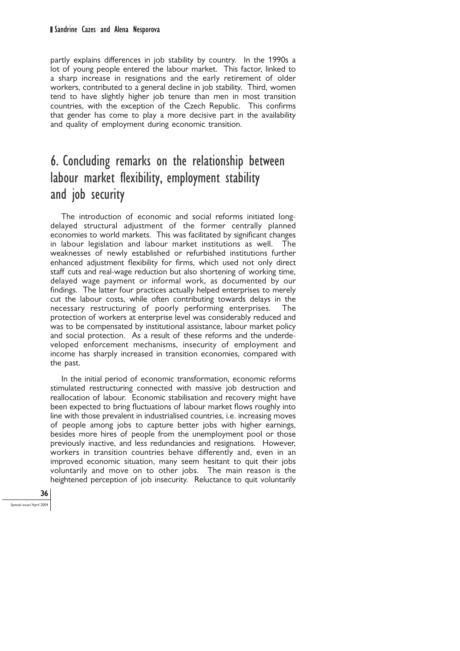#### Sandrine Cazes and Alena Nesporova

partly explains differences in job stability by country. In the 1990s a lot of young people entered the labour market. This factor, linked to a sharp increase in resignations and the early retirement of older workers, contributed to a general decline in job stability. Third, women tend to have slightly higher job tenure than men in most transition countries, with the exception of the Czech Republic. This confirms that gender has come to play a more decisive part in the availability and quality of employment during economic transition.

# 6. Concluding remarks on the relationship between labour market flexibility, employment stability and job security

The introduction of economic and social reforms initiated longdelayed structural adjustment of the former centrally planned economies to world markets. This was facilitated by significant changes in labour legislation and labour market institutions as well. The weaknesses of newly established or refurbished institutions further enhanced adjustment flexibility for firms, which used not only direct staff cuts and real-wage reduction but also shortening of working time, delayed wage payment or informal work, as documented by our findings. The latter four practices actually helped enterprises to merely cut the labour costs, while often contributing towards delays in the necessary restructuring of poorly performing enterprises. The protection of workers at enterprise level was considerably reduced and was to be compensated by institutional assistance, labour market policy and social protection. As a result of these reforms and the underdeveloped enforcement mechanisms, insecurity of employment and income has sharply increased in transition economies, compared with the past.

In the initial period of economic transformation, economic reforms stimulated restructuring connected with massive job destruction and reallocation of labour. Economic stabilisation and recovery might have been expected to bring fluctuations of labour market flows roughly into line with those prevalent in industrialised countries, i.e. increasing moves of people among jobs to capture better jobs with higher earnings, besides more hires of people from the unemployment pool or those previously inactive, and less redundancies and resignations. However, workers in transition countries behave differently and, even in an improved economic situation, many seem hesitant to quit their jobs voluntarily and move on to other jobs. The main reason is the heightened perception of job insecurity. Reluctance to quit voluntarily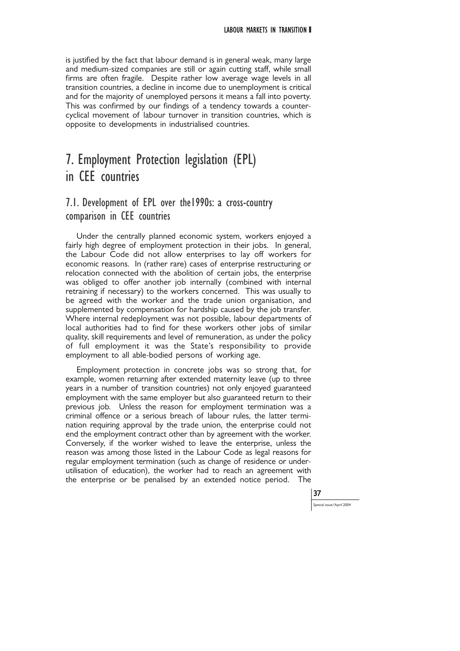is justified by the fact that labour demand is in general weak, many large and medium-sized companies are still or again cutting staff, while small firms are often fragile. Despite rather low average wage levels in all transition countries, a decline in income due to unemployment is critical and for the majority of unemployed persons it means a fall into poverty. This was confirmed by our findings of a tendency towards a countercyclical movement of labour turnover in transition countries, which is opposite to developments in industrialised countries.

# 7. Employment Protection legislation (EPL) in CEE countries

### 7.1. Development of EPL over the1990s: a cross-country comparison in CEE countries

Under the centrally planned economic system, workers enjoyed a fairly high degree of employment protection in their jobs. In general, the Labour Code did not allow enterprises to lay off workers for economic reasons. In (rather rare) cases of enterprise restructuring or relocation connected with the abolition of certain jobs, the enterprise was obliged to offer another job internally (combined with internal retraining if necessary) to the workers concerned. This was usually to be agreed with the worker and the trade union organisation, and supplemented by compensation for hardship caused by the job transfer. Where internal redeployment was not possible, labour departments of local authorities had to find for these workers other jobs of similar quality, skill requirements and level of remuneration, as under the policy of full employment it was the State's responsibility to provide employment to all able-bodied persons of working age.

Employment protection in concrete jobs was so strong that, for example, women returning after extended maternity leave (up to three years in a number of transition countries) not only enjoyed guaranteed employment with the same employer but also guaranteed return to their previous job. Unless the reason for employment termination was a criminal offence or a serious breach of labour rules, the latter termination requiring approval by the trade union, the enterprise could not end the employment contract other than by agreement with the worker. Conversely, if the worker wished to leave the enterprise, unless the reason was among those listed in the Labour Code as legal reasons for regular employment termination (such as change of residence or underutilisation of education), the worker had to reach an agreement with the enterprise or be penalised by an extended notice period. The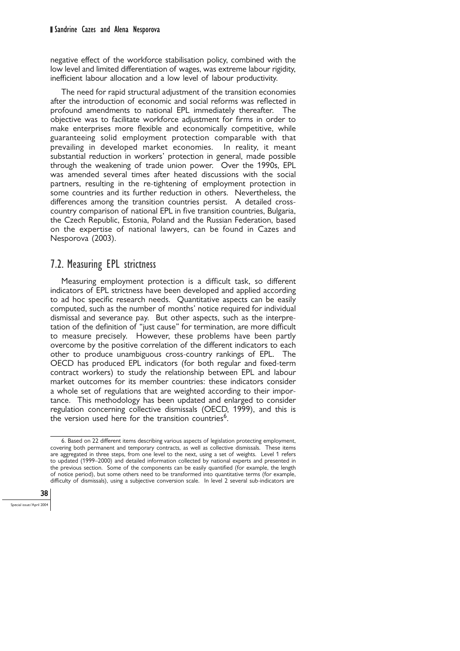negative effect of the workforce stabilisation policy, combined with the low level and limited differentiation of wages, was extreme labour rigidity, inefficient labour allocation and a low level of labour productivity.

The need for rapid structural adjustment of the transition economies after the introduction of economic and social reforms was reflected in profound amendments to national EPL immediately thereafter. The objective was to facilitate workforce adjustment for firms in order to make enterprises more flexible and economically competitive, while guaranteeing solid employment protection comparable with that prevailing in developed market economies. In reality, it meant substantial reduction in workers' protection in general, made possible through the weakening of trade union power. Over the 1990s, EPL was amended several times after heated discussions with the social partners, resulting in the re-tightening of employment protection in some countries and its further reduction in others. Nevertheless, the differences among the transition countries persist. A detailed crosscountry comparison of national EPL in five transition countries, Bulgaria, the Czech Republic, Estonia, Poland and the Russian Federation, based on the expertise of national lawyers, can be found in Cazes and Nesporova (2003).

### 7.2. Measuring EPL strictness

Measuring employment protection is a difficult task, so different indicators of EPL strictness have been developed and applied according to ad hoc specific research needs. Quantitative aspects can be easily computed, such as the number of months' notice required for individual dismissal and severance pay. But other aspects, such as the interpretation of the definition of "just cause" for termination, are more difficult to measure precisely. However, these problems have been partly overcome by the positive correlation of the different indicators to each other to produce unambiguous cross-country rankings of EPL. The OECD has produced EPL indicators (for both regular and fixed-term contract workers) to study the relationship between EPL and labour market outcomes for its member countries: these indicators consider a whole set of regulations that are weighted according to their importance. This methodology has been updated and enlarged to consider regulation concerning collective dismissals (OECD, 1999), and this is the version used here for the transition countries<sup>6</sup>.



<sup>6.</sup> Based on 22 different items describing various aspects of legislation protecting employment, covering both permanent and temporary contracts, as well as collective dismissals. These items are aggregated in three steps, from one level to the next, using a set of weights. Level 1 refers to updated (1999–2000) and detailed information collected by national experts and presented in the previous section. Some of the components can be easily quantified (for example, the length of notice period), but some others need to be transformed into quantitative terms (for example, difficulty of dismissals), using a subjective conversion scale. In level 2 several sub-indicators are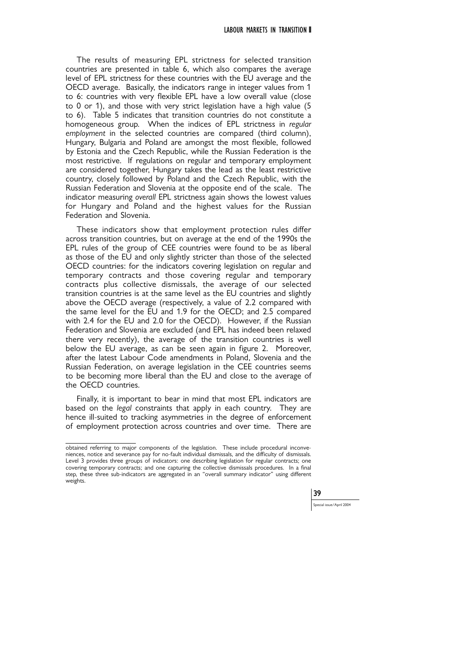The results of measuring EPL strictness for selected transition countries are presented in table 6, which also compares the average level of EPL strictness for these countries with the EU average and the OECD average. Basically, the indicators range in integer values from 1 to 6: countries with very flexible EPL have a low overall value (close to 0 or 1), and those with very strict legislation have a high value (5 to 6). Table 5 indicates that transition countries do not constitute a homogeneous group. When the indices of EPL strictness in *regular employment* in the selected countries are compared (third column), Hungary, Bulgaria and Poland are amongst the most flexible, followed by Estonia and the Czech Republic, while the Russian Federation is the most restrictive. If regulations on regular and temporary employment are considered together, Hungary takes the lead as the least restrictive country, closely followed by Poland and the Czech Republic, with the Russian Federation and Slovenia at the opposite end of the scale. The indicator measuring *overall* EPL strictness again shows the lowest values for Hungary and Poland and the highest values for the Russian Federation and Slovenia.

These indicators show that employment protection rules differ across transition countries, but on average at the end of the 1990s the EPL rules of the group of CEE countries were found to be as liberal as those of the EU and only slightly stricter than those of the selected OECD countries: for the indicators covering legislation on regular and temporary contracts and those covering regular and temporary contracts plus collective dismissals, the average of our selected transition countries is at the same level as the EU countries and slightly above the OECD average (respectively, a value of 2.2 compared with the same level for the EU and 1.9 for the OECD; and 2.5 compared with 2.4 for the EU and 2.0 for the OECD). However, if the Russian Federation and Slovenia are excluded (and EPL has indeed been relaxed there very recently), the average of the transition countries is well below the EU average, as can be seen again in figure 2. Moreover, after the latest Labour Code amendments in Poland, Slovenia and the Russian Federation, on average legislation in the CEE countries seems to be becoming more liberal than the EU and close to the average of the OECD countries.

Finally, it is important to bear in mind that most EPL indicators are based on the *legal* constraints that apply in each country. They are hence ill-suited to tracking asymmetries in the degree of enforcement of employment protection across countries and over time. There are

obtained referring to major components of the legislation. These include procedural inconveniences, notice and severance pay for no-fault individual dismissals, and the difficulty of dismissals. Level 3 provides three groups of indicators: one describing legislation for regular contracts; one covering temporary contracts; and one capturing the collective dismissals procedures. In a final step, these three sub-indicators are aggregated in an "overall summary indicator" using different weights.

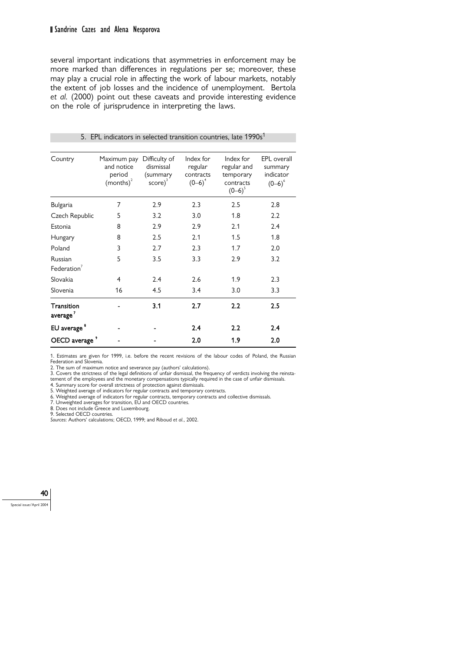several important indications that asymmetries in enforcement may be more marked than differences in regulations per se; moreover, these may play a crucial role in affecting the work of labour markets, notably the extent of job losses and the incidence of unemployment. Bertola *et al.* (2000) point out these caveats and provide interesting evidence on the role of jurisprudence in interpreting the laws.

| Country                            | Maximum pay<br>and notice<br>period<br>$(months)^2$ | Difficulty of<br>dismissal<br>(summary<br>$score)^3$ | Index for<br>regular<br>contracts<br>$(D-6)^4$ | Index for<br>regular and<br>temporary<br>contracts<br>$(O-6)^5$ | EPL overall<br>summary<br>indicator<br>$(0-6)^6$ |
|------------------------------------|-----------------------------------------------------|------------------------------------------------------|------------------------------------------------|-----------------------------------------------------------------|--------------------------------------------------|
| Bulgaria                           | 7                                                   | 2.9                                                  | 2.3                                            | 2.5                                                             | 2.8                                              |
| Czech Republic                     | 5                                                   | 3.2                                                  | 3.0                                            | 1.8                                                             | 2.2                                              |
| Estonia                            | 8                                                   | 2.9                                                  | 2.9                                            | 2.1                                                             | 2.4                                              |
| Hungary                            | 8                                                   | 2.5                                                  | 2.1                                            | 1.5                                                             | 1.8                                              |
| Poland                             | 3                                                   | 2.7                                                  | 2.3                                            | 1.7                                                             | 2.0                                              |
| Russian<br>Federation <sup>7</sup> | 5                                                   | 3.5                                                  | 3.3                                            | 2.9                                                             | 3.2                                              |
| Slovakia                           | 4                                                   | 2.4                                                  | 2.6                                            | 1.9                                                             | 2.3                                              |
| Slovenia                           | 16                                                  | 4.5                                                  | 3.4                                            | 3.0                                                             | 3.3                                              |
| Transition<br>average <sup>7</sup> |                                                     | 3.1                                                  | 2.7                                            | 2.2                                                             | 2.5                                              |
| EU average <sup>8</sup>            |                                                     |                                                      | 2.4                                            | 2.2                                                             | 2.4                                              |
| OECD average                       |                                                     |                                                      | 2.0                                            | 1.9                                                             | 2.0                                              |

#### 5. EPL indicators in selected transition countries, late 1990s<sup>1</sup>

1. Estimates are given for 1999, i.e. before the recent revisions of the labour codes of Poland, the Russian Federation and Slovenia.

2. The sum of maximum notice and severance pay (authors' calculations). 3. Covers the strictness of the legal definitions of unfair dismissal, the frequency of verdicts involving the reinsta-

tement of the employees and the monetary compensations typically required in the case of unfair dismissals. 4. Summary score for overall strictness of protection against dismissals.

5. Weighted average of indicators for regular contracts and temporary contracts.

6. Weighted average of indicators for regular contracts, temporary contracts and collective dismissals. 7. Unweighted averages for transition, EU and OECD countries.

8. Does not include Greece and Luxembourg.

9. Selected OECD countries.

*Sources*: Authors' calculations; OECD, 1999; and Riboud *et al.*, 2002.

### 40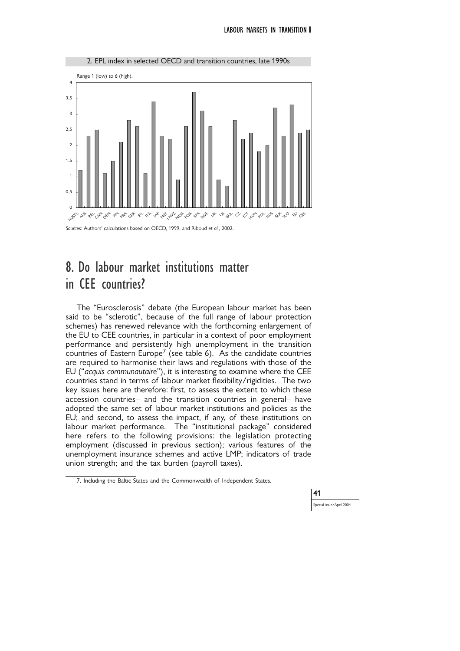

# 8. Do labour market institutions matter in CEE countries?

The "Eurosclerosis" debate (the European labour market has been said to be "sclerotic", because of the full range of labour protection schemes) has renewed relevance with the forthcoming enlargement of the EU to CEE countries, in particular in a context of poor employment performance and persistently high unemployment in the transition countries of Eastern Europe<sup> $\prime$ </sup> (see table 6). As the candidate countries are required to harmonise their laws and regulations with those of the EU ("*acquis communautaire*"), it is interesting to examine where the CEE countries stand in terms of labour market flexibility/rigidities. The two key issues here are therefore: first, to assess the extent to which these accession countries– and the transition countries in general– have adopted the same set of labour market institutions and policies as the EU; and second, to assess the impact, if any, of these institutions on labour market performance. The "institutional package" considered here refers to the following provisions: the legislation protecting employment (discussed in previous section); various features of the unemployment insurance schemes and active LMP; indicators of trade union strength; and the tax burden (payroll taxes).

41

ial issue/April 2004

<sup>7.</sup> Including the Baltic States and the Commonwealth of Independent States.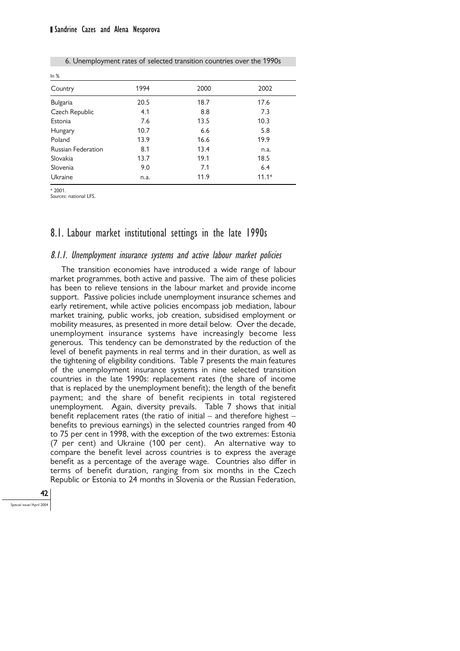| ln %                      |      |      |         |  |  |  |  |
|---------------------------|------|------|---------|--|--|--|--|
| Country                   | 1994 | 2000 | 2002    |  |  |  |  |
| Bulgaria                  | 20.5 | 18.7 | 17.6    |  |  |  |  |
| Czech Republic            | 4.1  | 8.8  | 7.3     |  |  |  |  |
| Estonia                   | 7.6  | 13.5 | 10.3    |  |  |  |  |
| Hungary                   | 10.7 | 6.6  | 5.8     |  |  |  |  |
| Poland                    | 13.9 | 16.6 | 19.9    |  |  |  |  |
| <b>Russian Federation</b> | 8.1  | 13.4 | n.a.    |  |  |  |  |
| Slovakia                  | 13.7 | 19.1 | 18.5    |  |  |  |  |
| Slovenia                  | 9.0  | 7.1  | 6.4     |  |  |  |  |
| Ukraine                   | n.a. | 11.9 | $11.1*$ |  |  |  |  |

6. Unemployment rates of selected transition countries over the 1990s

\* 2001.

*Sources*: national LFS.

### 8.1. Labour market institutional settings in the late 1990s

#### 8.1.1. Unemployment insurance systems and active labour market policies

The transition economies have introduced a wide range of labour market programmes, both active and passive. The aim of these policies has been to relieve tensions in the labour market and provide income support. Passive policies include unemployment insurance schemes and early retirement, while active policies encompass job mediation, labour market training, public works, job creation, subsidised employment or mobility measures, as presented in more detail below. Over the decade, unemployment insurance systems have increasingly become less generous. This tendency can be demonstrated by the reduction of the level of benefit payments in real terms and in their duration, as well as the tightening of eligibility conditions. Table 7 presents the main features of the unemployment insurance systems in nine selected transition countries in the late 1990s: replacement rates (the share of income that is replaced by the unemployment benefit); the length of the benefit payment; and the share of benefit recipients in total registered unemployment. Again, diversity prevails. Table 7 shows that initial benefit replacement rates (the ratio of initial  $-$  and therefore highest  $$ benefits to previous earnings) in the selected countries ranged from 40 to 75 per cent in 1998, with the exception of the two extremes: Estonia (7 per cent) and Ukraine (100 per cent). An alternative way to compare the benefit level across countries is to express the average benefit as a percentage of the average wage. Countries also differ in terms of benefit duration, ranging from six months in the Czech Republic or Estonia to 24 months in Slovenia or the Russian Federation,

42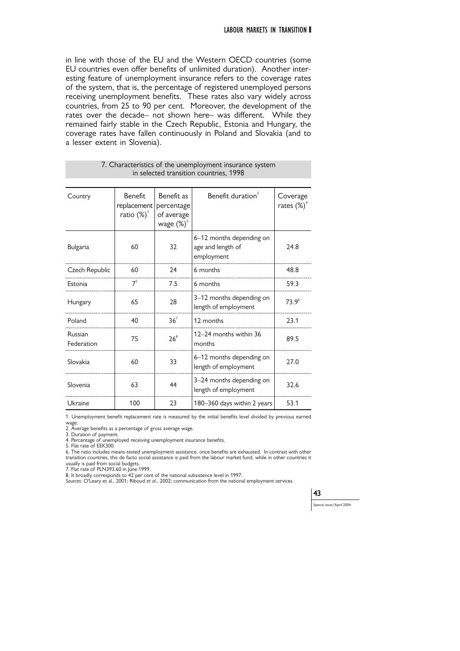in line with those of the EU and the Western OECD countries (some EU countries even offer benefits of unlimited duration). Another interesting feature of unemployment insurance refers to the coverage rates of the system, that is, the percentage of registered unemployed persons receiving unemployment benefits. These rates also vary widely across countries, from 25 to 90 per cent. Moreover, the development of the rates over the decade– not shown here– was different. While they remained fairly stable in the Czech Republic, Estonia and Hungary, the coverage rates have fallen continuously in Poland and Slovakia (and to a lesser extent in Slovenia).

| Country               | <b>Benefit</b><br>replacement<br>ratio $(\%)^1$ | Benefit as<br>percentage<br>of average<br>wage $(\%)^2$ | Benefit duration <sup>3</sup>                               | Coverage<br>rates $(\%)^4$ |
|-----------------------|-------------------------------------------------|---------------------------------------------------------|-------------------------------------------------------------|----------------------------|
| Bulgaria              | 60                                              | 32                                                      | 6-12 months depending on<br>age and length of<br>employment | 24.8                       |
| Czech Republic        | 60                                              | 24                                                      | 6 months                                                    | 48.8                       |
| Estonia               | $7^{\circ}$                                     | 7.5                                                     | 6 months                                                    | 59.3                       |
| Hungary               | 65                                              | 28                                                      | 3-12 months depending on<br>length of employment            | 73.9 <sup>6</sup>          |
| Poland                | 40                                              | 36 <sup>7</sup>                                         | 12 months                                                   | 23.1                       |
| Russian<br>Federation | 75                                              | $26^8$                                                  | 12-24 months within 36<br>months                            | 89.5                       |
| Slovakia              | 60                                              | 33                                                      | 6-12 months depending on<br>length of employment            | 27.0                       |
| Slovenia              | 63                                              | 44                                                      | 3-24 months depending on<br>length of employment            | 32.6                       |
| Ukraine               | 100                                             | 23                                                      | 180-360 days within 2 years                                 | 53.1                       |

#### 7. Characteristics of the unemployment insurance system in selected transition countries, 1998

1. Unemployment benefit replacement rate is measured by the initial benefits level divided by previous earned

wage. 2. Average benefits as a percentage of gross average wage.

3. Duration of payment.

4. Percentage of unemployed receiving unemployment insurance benefits.

5. Flat rate of EEK300.

6. The ratio includes means-tested unemployment assistance, once benefits are exhausted. In contrast with other transition countries, this de facto social assistance is paid from the labour market fund, while in other countries it

usually is paid from social budgets. 7. Flat rate of PLN393.60 in June 1999. 8. It broadly corresponds to 42 per cent of the national subsistence level in 1997.

*Sources*: O'Leary et al., 2001; Riboud *et al.*, 2002; communication from the national employment services.

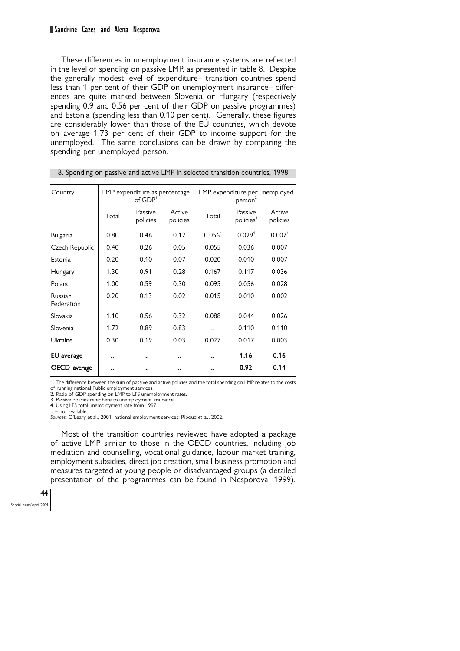#### Sandrine Cazes and Alena Nesporova

These differences in unemployment insurance systems are reflected in the level of spending on passive LMP, as presented in table 8. Despite the generally modest level of expenditure– transition countries spend less than 1 per cent of their GDP on unemployment insurance– differences are quite marked between Slovenia or Hungary (respectively spending 0.9 and 0.56 per cent of their GDP on passive programmes) and Estonia (spending less than 0.10 per cent). Generally, these figures are considerably lower than those of the EU countries, which devote on average 1.73 per cent of their GDP to income support for the unemployed. The same conclusions can be drawn by comparing the spending per unemployed person.

| Country                      |       | LMP expenditure as percentage<br>of $GDP1$ |                    | LMP expenditure per unemployed<br>person <sup>2</sup> |                                  |                    |
|------------------------------|-------|--------------------------------------------|--------------------|-------------------------------------------------------|----------------------------------|--------------------|
|                              | Total | Passive<br>policies                        | Active<br>policies | Total                                                 | Passive<br>policies <sup>3</sup> | Active<br>policies |
| Bulgaria                     | 0.80  | 0.46                                       | 0.12               | $0.056^{4}$                                           | $0.029^{4}$                      | 0.007 <sup>4</sup> |
| Czech Republic               | 0.40  | 0.26                                       | 0.05               | 0.055                                                 | 0.036                            | 0.007              |
| Estonia                      | 0.20  | 0.10                                       | 0.07               | 0.020                                                 | 0.010                            | 0.007              |
| Hungary                      | 1.30  | 0.91                                       | 0.28               | 0.167                                                 | 0.117                            | 0.036              |
| Poland                       | 1.00  | 0.59                                       | 0.30               | 0.095                                                 | 0.056                            | 0.028              |
| <b>Russian</b><br>Federation | 0.20  | 0.13                                       | 0.02               | 0.015                                                 | 0.010                            | 0.002              |
| Slovakia                     | 1.10  | 0.56                                       | 0.32               | 0.088                                                 | 0.044                            | 0.026              |
| Slovenia                     | 1.72  | 0.89                                       | 0.83               |                                                       | 0.110                            | 0.110              |
| Ukraine                      | 0.30  | 0.19                                       | 0.03               | 0.027                                                 | 0.017                            | 0.003              |
| EU average                   |       |                                            |                    |                                                       | 1.16                             | 0.16               |
| OECD<br>average              |       |                                            |                    |                                                       | 0.92                             | 0.14               |

8. Spending on passive and active LMP in selected transition countries, 1998

1. The difference between the sum of passive and active policies and the total spending on LMP relates to the costs

of running national Public employment services. 2. Ratio of GDP spending on LMP to LFS unemployment rates.

3. Passive policies refer here to unemployment insurance.

4. Using LFS total unemployment rate from 1997.

 $=$  not available

*Sources*: O'Leary et al., 2001; national employment services; Riboud *et al.*, 2002.

Most of the transition countries reviewed have adopted a package of active LMP similar to those in the OECD countries, including job mediation and counselling, vocational guidance, labour market training, employment subsidies, direct job creation, small business promotion and measures targeted at young people or disadvantaged groups (a detailed presentation of the programmes can be found in Nesporova, 1999).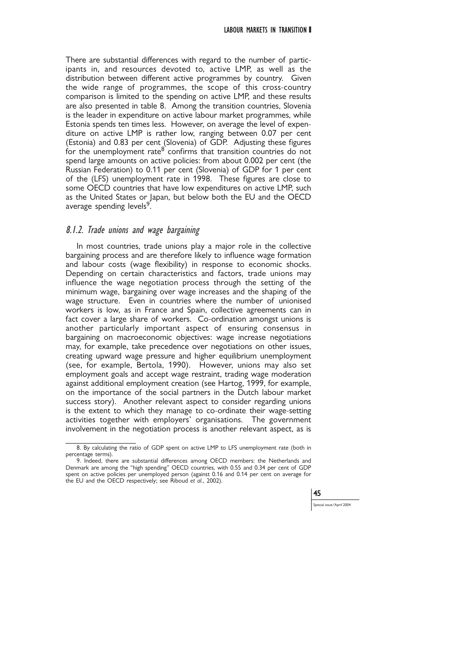There are substantial differences with regard to the number of participants in, and resources devoted to, active LMP, as well as the distribution between different active programmes by country. Given the wide range of programmes, the scope of this cross-country comparison is limited to the spending on active LMP, and these results are also presented in table 8. Among the transition countries, Slovenia is the leader in expenditure on active labour market programmes, while Estonia spends ten times less. However, on average the level of expenditure on active LMP is rather low, ranging between 0.07 per cent (Estonia) and 0.83 per cent (Slovenia) of GDP. Adjusting these figures for the unemployment rate<sup>8</sup> confirms that transition countries do not spend large amounts on active policies: from about 0.002 per cent (the Russian Federation) to 0.11 per cent (Slovenia) of GDP for 1 per cent of the (LFS) unemployment rate in 1998. These figures are close to some OECD countries that have low expenditures on active LMP, such as the United States or Japan, but below both the EU and the OECD average spending levels<sup>9</sup>.

#### 8.1.2. Trade unions and wage bargaining

In most countries, trade unions play a major role in the collective bargaining process and are therefore likely to influence wage formation and labour costs (wage flexibility) in response to economic shocks. Depending on certain characteristics and factors, trade unions may influence the wage negotiation process through the setting of the minimum wage, bargaining over wage increases and the shaping of the wage structure. Even in countries where the number of unionised workers is low, as in France and Spain, collective agreements can in fact cover a large share of workers. Co-ordination amongst unions is another particularly important aspect of ensuring consensus in bargaining on macroeconomic objectives: wage increase negotiations may, for example, take precedence over negotiations on other issues, creating upward wage pressure and higher equilibrium unemployment (see, for example, Bertola, 1990). However, unions may also set employment goals and accept wage restraint, trading wage moderation against additional employment creation (see Hartog, 1999, for example, on the importance of the social partners in the Dutch labour market success story). Another relevant aspect to consider regarding unions is the extent to which they manage to co-ordinate their wage-setting activities together with employers' organisations. The government involvement in the negotiation process is another relevant aspect, as is

<sup>9.</sup> Indeed, there are substantial differences among OECD members: the Netherlands and Denmark are among the "high spending" OECD countries, with 0.55 and 0.34 per cent of GDP spent on active policies per unemployed person (against 0.16 and 0.14 per cent on average for the EU and the OECD respectively; see Riboud *et al.*, 2002).



<sup>8.</sup> By calculating the ratio of GDP spent on active LMP to LFS unemployment rate (both in percentage terms).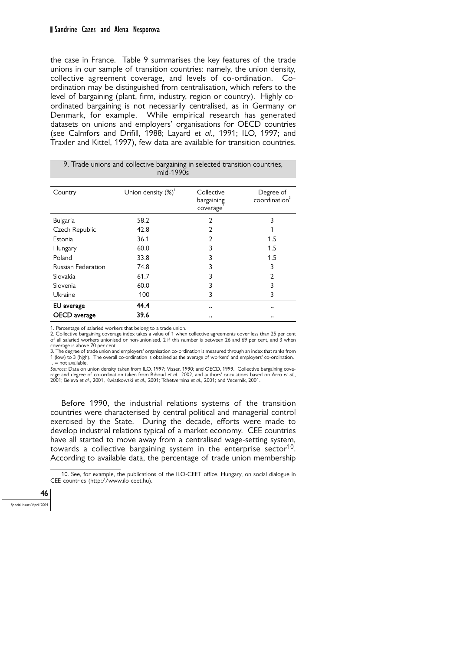the case in France. Table 9 summarises the key features of the trade unions in our sample of transition countries: namely, the union density, collective agreement coverage, and levels of co-ordination. Coordination may be distinguished from centralisation, which refers to the level of bargaining (plant, firm, industry, region or country). Highly coordinated bargaining is not necessarily centralised, as in Germany or Denmark, for example. While empirical research has generated datasets on unions and employers' organisations for OECD countries (see Calmfors and Drifill, 1988; Layard *et al.*, 1991; ILO, 1997; and Traxler and Kittel, 1997), few data are available for transition countries.

| Country                   | Union density $(\%)^1$ | Collective<br>bargaining<br>coverage | Degree of<br>coordination <sup>3</sup> |
|---------------------------|------------------------|--------------------------------------|----------------------------------------|
| Bulgaria                  | 58.2                   | 2                                    | 3                                      |
| Czech Republic            | 42.8                   | 2                                    | 1                                      |
| Estonia                   | 36.1                   | 2                                    | 1.5                                    |
| Hungary                   | 60.0                   | 3                                    | 1.5                                    |
| Poland                    | 33.8                   | 3                                    | 1.5                                    |
| <b>Russian Federation</b> | 74.8                   | 3                                    | 3                                      |
| Slovakia                  | 61.7                   | 3                                    | $\mathfrak{D}$                         |
| Slovenia                  | 60.0                   | 3                                    | 3                                      |
| Ukraine                   | 100                    | 3                                    | 3                                      |
| EU average                | 44.4                   |                                      | $\ddot{\phantom{0}}$                   |
| OECD average              | 39.6                   |                                      |                                        |

9. Trade unions and collective bargaining in selected transition countries, mid-1990s

1. Percentage of salaried workers that belong to a trade union.

2. Collective bargaining coverage index takes a value of 1 when collective agreements cover less than 25 per cent of all salaried workers unionised or non-unionised, 2 if this number is between 26 and 69 per cent, and 3 when coverage is above 70 per cent.

3. The degree of trade union and employers' organisation co-ordination is measured through an index that ranks from 1 (low) to 3 (high). The overall co-ordination is obtained as the average of workers' and employers' co-ordination.  $=$  not available.

*Sources:* Data on union density taken from ILO, 1997; Visser, 1990; and OECD, 1999. Collective bargaining coverage and degree of co-ordination taken from Riboud *et al.*, 2002, and authors' calculations based on Arro *et al.*, 2001; Beleva *et al.*, 2001, Kwiatkowski *et al.*, 2001; Tchetvernina *et al.*, 2001; and Vecernik, 2001.

Before 1990, the industrial relations systems of the transition countries were characterised by central political and managerial control exercised by the State. During the decade, efforts were made to develop industrial relations typical of a market economy. CEE countries have all started to move away from a centralised wage-setting system, towards a collective bargaining system in the enterprise sector<sup>10</sup>. According to available data, the percentage of trade union membership

10. See, for example, the publications of the ILO-CEET office, Hungary, on social dialogue in CEE countries (http://www.ilo-ceet.hu).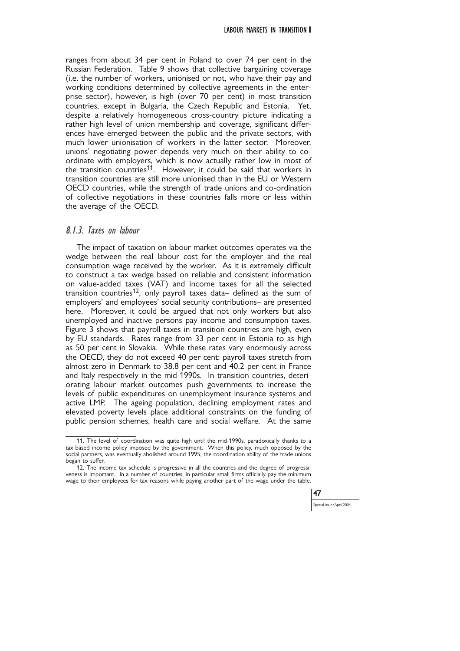ranges from about 34 per cent in Poland to over 74 per cent in the Russian Federation. Table 9 shows that collective bargaining coverage (i.e. the number of workers, unionised or not, who have their pay and working conditions determined by collective agreements in the enterprise sector), however, is high (over 70 per cent) in most transition countries, except in Bulgaria, the Czech Republic and Estonia. Yet, despite a relatively homogeneous cross-country picture indicating a rather high level of union membership and coverage, significant differences have emerged between the public and the private sectors, with much lower unionisation of workers in the latter sector. Moreover, unions' negotiating power depends very much on their ability to coordinate with employers, which is now actually rather low in most of the transition countries<sup>11</sup>. However, it could be said that workers in transition countries are still more unionised than in the EU or Western OECD countries, while the strength of trade unions and co-ordination of collective negotiations in these countries falls more or less within the average of the OECD.

### 8.1.3. Taxes on labour

The impact of taxation on labour market outcomes operates via the wedge between the real labour cost for the employer and the real consumption wage received by the worker. As it is extremely difficult to construct a tax wedge based on reliable and consistent information on value-added taxes (VAT) and income taxes for all the selected transition countries<sup>12</sup>, only payroll taxes data- defined as the sum of employers' and employees' social security contributions– are presented here. Moreover, it could be argued that not only workers but also unemployed and inactive persons pay income and consumption taxes. Figure 3 shows that payroll taxes in transition countries are high, even by EU standards. Rates range from 33 per cent in Estonia to as high as 50 per cent in Slovakia. While these rates vary enormously across the OECD, they do not exceed 40 per cent: payroll taxes stretch from almost zero in Denmark to 38.8 per cent and 40.2 per cent in France and Italy respectively in the mid-1990s. In transition countries, deteriorating labour market outcomes push governments to increase the levels of public expenditures on unemployment insurance systems and active LMP. The ageing population, declining employment rates and elevated poverty levels place additional constraints on the funding of public pension schemes, health care and social welfare. At the same

<sup>12.</sup> The income tax schedule is progressive in all the countries and the degree of progressiveness is important. In a number of countries, in particular small firms officially pay the minimum wage to their employees for tax reasons while paying another part of the wage under the table.



s<br>Al issue/April 2004

<sup>11.</sup> The level of coordination was quite high until the mid-1990s, paradoxically thanks to a tax-based income policy imposed by the government. When this policy, much opposed by the social partners, was eventually abolished around 1995, the coordination ability of the trade unions began to suffer.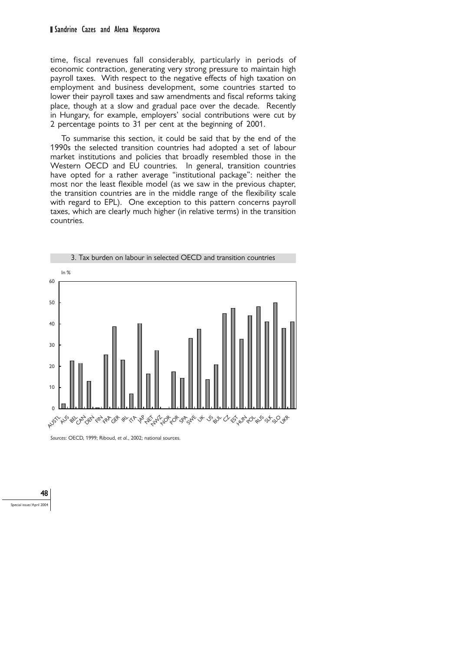time, fiscal revenues fall considerably, particularly in periods of economic contraction, generating very strong pressure to maintain high payroll taxes. With respect to the negative effects of high taxation on employment and business development, some countries started to lower their payroll taxes and saw amendments and fiscal reforms taking place, though at a slow and gradual pace over the decade. Recently in Hungary, for example, employers' social contributions were cut by 2 percentage points to 31 per cent at the beginning of 2001.

To summarise this section, it could be said that by the end of the 1990s the selected transition countries had adopted a set of labour market institutions and policies that broadly resembled those in the Western OECD and EU countries. In general, transition countries have opted for a rather average "institutional package": neither the most nor the least flexible model (as we saw in the previous chapter, the transition countries are in the middle range of the flexibility scale with regard to EPL). One exception to this pattern concerns payroll taxes, which are clearly much higher (in relative terms) in the transition countries.



*Sources*: OECD, 1999; Riboud, *et al.*, 2002; national sources.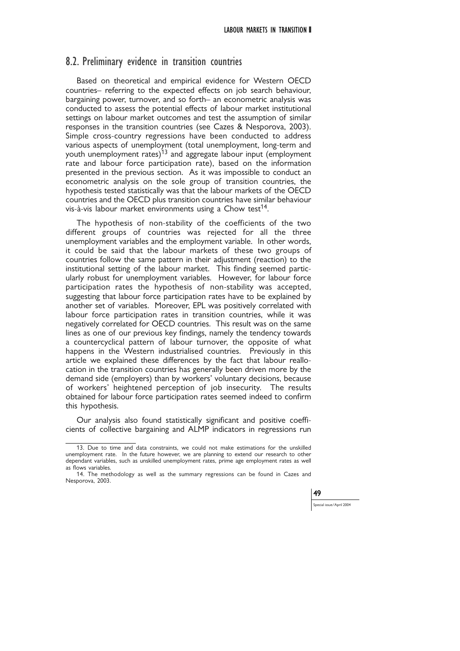### 8.2. Preliminary evidence in transition countries

Based on theoretical and empirical evidence for Western OECD countries– referring to the expected effects on job search behaviour, bargaining power, turnover, and so forth– an econometric analysis was conducted to assess the potential effects of labour market institutional settings on labour market outcomes and test the assumption of similar responses in the transition countries (see Cazes & Nesporova, 2003). Simple cross-country regressions have been conducted to address various aspects of unemployment (total unemployment, long-term and youth unemployment rates)<sup>13</sup> and aggregate labour input (employment rate and labour force participation rate), based on the information presented in the previous section. As it was impossible to conduct an econometric analysis on the sole group of transition countries, the hypothesis tested statistically was that the labour markets of the OECD countries and the OECD plus transition countries have similar behaviour vis-à-vis labour market environments using a Chow test<sup>14</sup>.

The hypothesis of non-stability of the coefficients of the two different groups of countries was rejected for all the three unemployment variables and the employment variable. In other words, it could be said that the labour markets of these two groups of countries follow the same pattern in their adjustment (reaction) to the institutional setting of the labour market. This finding seemed particularly robust for unemployment variables. However, for labour force participation rates the hypothesis of non-stability was accepted, suggesting that labour force participation rates have to be explained by another set of variables. Moreover, EPL was positively correlated with labour force participation rates in transition countries, while it was negatively correlated for OECD countries. This result was on the same lines as one of our previous key findings, namely the tendency towards a countercyclical pattern of labour turnover, the opposite of what happens in the Western industrialised countries. Previously in this article we explained these differences by the fact that labour reallocation in the transition countries has generally been driven more by the demand side (employers) than by workers' voluntary decisions, because of workers' heightened perception of job insecurity. The results obtained for labour force participation rates seemed indeed to confirm this hypothesis.

Our analysis also found statistically significant and positive coefficients of collective bargaining and ALMP indicators in regressions run

<sup>14.</sup> The methodology as well as the summary regressions can be found in Cazes and Nesporova, 2003.



<sup>13.</sup> Due to time and data constraints, we could not make estimations for the unskilled unemployment rate. In the future however, we are planning to extend our research to other dependant variables, such as unskilled unemployment rates, prime age employment rates as well as flows variables.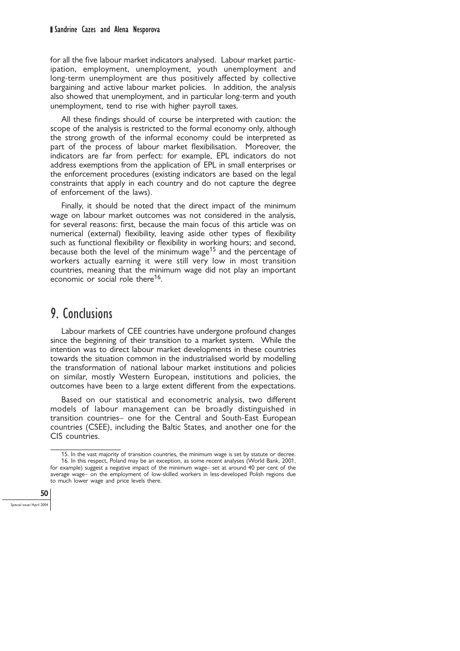#### Sandrine Cazes and Alena Nesporova

for all the five labour market indicators analysed. Labour market participation, employment, unemployment, youth unemployment and long-term unemployment are thus positively affected by collective bargaining and active labour market policies. In addition, the analysis also showed that unemployment, and in particular long-term and youth unemployment, tend to rise with higher payroll taxes.

All these findings should of course be interpreted with caution: the scope of the analysis is restricted to the formal economy only, although the strong growth of the informal economy could be interpreted as part of the process of labour market flexibilisation. Moreover, the indicators are far from perfect: for example, EPL indicators do not address exemptions from the application of EPL in small enterprises or the enforcement procedures (existing indicators are based on the legal constraints that apply in each country and do not capture the degree of enforcement of the laws).

Finally, it should be noted that the direct impact of the minimum wage on labour market outcomes was not considered in the analysis, for several reasons: first, because the main focus of this article was on numerical (external) flexibility, leaving aside other types of flexibility such as functional flexibility or flexibility in working hours; and second, because both the level of the minimum wage<sup>15</sup> and the percentage of workers actually earning it were still very low in most transition countries, meaning that the minimum wage did not play an important economic or social role there<sup>16</sup>.

# 9. Conclusions

Labour markets of CEE countries have undergone profound changes since the beginning of their transition to a market system. While the intention was to direct labour market developments in these countries towards the situation common in the industrialised world by modelling the transformation of national labour market institutions and policies on similar, mostly Western European, institutions and policies, the outcomes have been to a large extent different from the expectations.

Based on our statistical and econometric analysis, two different models of labour management can be broadly distinguished in transition countries– one for the Central and South-East European countries (CSEE), including the Baltic States, and another one for the CIS countries.

<sup>15.</sup> In the vast majority of transition countries, the minimum wage is set by statute or decree. 16. In this respect, Poland may be an exception, as some recent analyses (World Bank, 2001, for example) suggest a negative impact of the minimum wage– set at around 40 per cent of the average wage– on the employment of low-skilled workers in less-developed Polish regions due to much lower wage and price levels there.

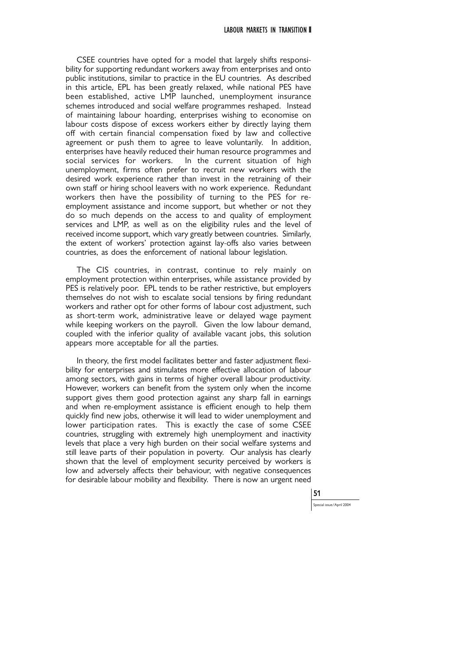CSEE countries have opted for a model that largely shifts responsibility for supporting redundant workers away from enterprises and onto public institutions, similar to practice in the EU countries. As described in this article, EPL has been greatly relaxed, while national PES have been established, active LMP launched, unemployment insurance schemes introduced and social welfare programmes reshaped. Instead of maintaining labour hoarding, enterprises wishing to economise on labour costs dispose of excess workers either by directly laying them off with certain financial compensation fixed by law and collective agreement or push them to agree to leave voluntarily. In addition, enterprises have heavily reduced their human resource programmes and social services for workers. In the current situation of high unemployment, firms often prefer to recruit new workers with the desired work experience rather than invest in the retraining of their own staff or hiring school leavers with no work experience. Redundant workers then have the possibility of turning to the PES for reemployment assistance and income support, but whether or not they do so much depends on the access to and quality of employment services and LMP, as well as on the eligibility rules and the level of received income support, which vary greatly between countries. Similarly, the extent of workers' protection against lay-offs also varies between countries, as does the enforcement of national labour legislation.

The CIS countries, in contrast, continue to rely mainly on employment protection within enterprises, while assistance provided by PES is relatively poor. EPL tends to be rather restrictive, but employers themselves do not wish to escalate social tensions by firing redundant workers and rather opt for other forms of labour cost adjustment, such as short-term work, administrative leave or delayed wage payment while keeping workers on the payroll. Given the low labour demand, coupled with the inferior quality of available vacant jobs, this solution appears more acceptable for all the parties.

In theory, the first model facilitates better and faster adjustment flexibility for enterprises and stimulates more effective allocation of labour among sectors, with gains in terms of higher overall labour productivity. However, workers can benefit from the system only when the income support gives them good protection against any sharp fall in earnings and when re-employment assistance is efficient enough to help them quickly find new jobs, otherwise it will lead to wider unemployment and lower participation rates. This is exactly the case of some CSEE countries, struggling with extremely high unemployment and inactivity levels that place a very high burden on their social welfare systems and still leave parts of their population in poverty. Our analysis has clearly shown that the level of employment security perceived by workers is low and adversely affects their behaviour, with negative consequences for desirable labour mobility and flexibility. There is now an urgent need

51

.<br>cial issue/April 2004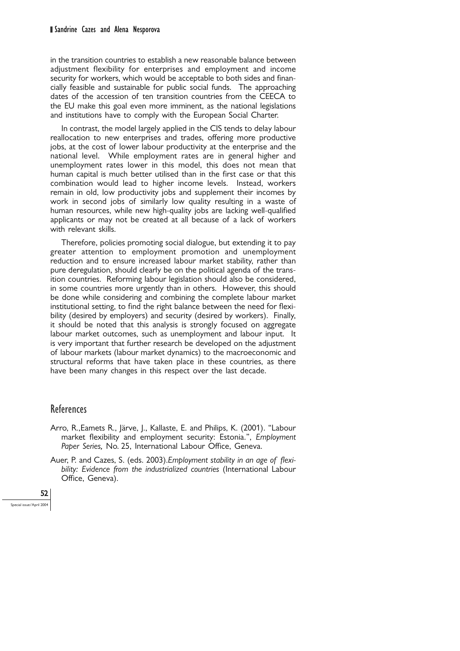in the transition countries to establish a new reasonable balance between adjustment flexibility for enterprises and employment and income security for workers, which would be acceptable to both sides and financially feasible and sustainable for public social funds. The approaching dates of the accession of ten transition countries from the CEECA to the EU make this goal even more imminent, as the national legislations and institutions have to comply with the European Social Charter.

In contrast, the model largely applied in the CIS tends to delay labour reallocation to new enterprises and trades, offering more productive jobs, at the cost of lower labour productivity at the enterprise and the national level. While employment rates are in general higher and unemployment rates lower in this model, this does not mean that human capital is much better utilised than in the first case or that this combination would lead to higher income levels. Instead, workers remain in old, low productivity jobs and supplement their incomes by work in second jobs of similarly low quality resulting in a waste of human resources, while new high-quality jobs are lacking well-qualified applicants or may not be created at all because of a lack of workers with relevant skills.

Therefore, policies promoting social dialogue, but extending it to pay greater attention to employment promotion and unemployment reduction and to ensure increased labour market stability, rather than pure deregulation, should clearly be on the political agenda of the transition countries. Reforming labour legislation should also be considered, in some countries more urgently than in others. However, this should be done while considering and combining the complete labour market institutional setting, to find the right balance between the need for flexibility (desired by employers) and security (desired by workers). Finally, it should be noted that this analysis is strongly focused on aggregate labour market outcomes, such as unemployment and labour input. It is very important that further research be developed on the adjustment of labour markets (labour market dynamics) to the macroeconomic and structural reforms that have taken place in these countries, as there have been many changes in this respect over the last decade.

### **References**

- Arro, R.,Eamets R., Järve, J., Kallaste, E. and Philips, K. (2001). "Labour market flexibility and employment security: Estonia.", *Employment Paper Series,* No. 25, International Labour Office, Geneva.
- Auer, P. and Cazes, S. (eds. 2003).*Employment stability in an age of flexibility: Evidence from the industrialized countries* (International Labour Office, Geneva).

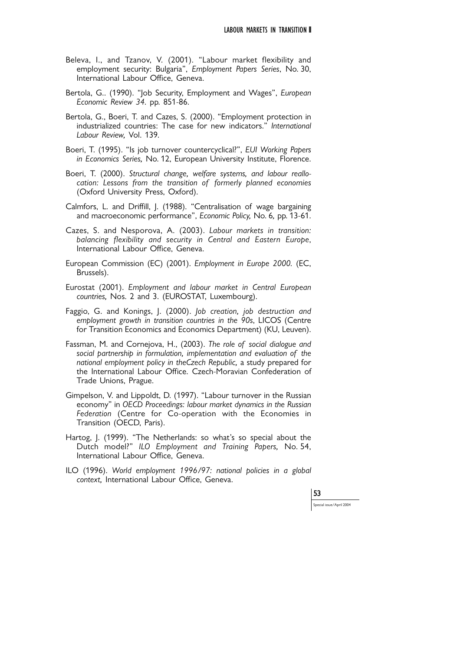- Beleva, I., and Tzanov, V. (2001). "Labour market flexibility and employment security: Bulgaria", *Employment Papers Series*, No. 30, International Labour Office, Geneva.
- Bertola, G.. (1990). "Job Security, Employment and Wages", *European Economic Review 34.* pp. 851-86.
- Bertola, G., Boeri, T. and Cazes, S. (2000). "Employment protection in industrialized countries: The case for new indicators." *International Labour Review,* Vol. 139*.*
- Boeri, T. (1995). "Is job turnover countercyclical?", *EUI Working Papers in Economics Series,* No. 12, European University Institute, Florence.
- Boeri, T. (2000). *Structural change, welfare systems, and labour reallocation: Lessons from the transition of formerly planned economies* (Oxford University Press, Oxford).
- Calmfors, L. and Driffill, J. (1988). "Centralisation of wage bargaining and macroeconomic performance", *Economic Policy,* No. 6*,* pp. 13-61.
- Cazes, S. and Nesporova, A. (2003). *Labour markets in transition: balancing flexibility and security in Central and Eastern Europe*, International Labour Office, Geneva.
- European Commission (EC) (2001). *Employment in Europe 2000.* (EC, Brussels).
- Eurostat (2001). *Employment and labour market in Central European countries,* Nos. 2 and 3. (EUROSTAT, Luxembourg).
- Faggio, G. and Konings, J. (2000). *Job creation, job destruction and employment growth in transition countries in the 90s*, LICOS (Centre for Transition Economics and Economics Department) (KU, Leuven).
- Fassman, M. and Cornejova, H., (2003). *The role of social dialogue and social partnership in formulation, implementation and evaluation of the national employment policy in theCzech Republic,* a study prepared for the International Labour Office. Czech-Moravian Confederation of Trade Unions, Prague.
- Gimpelson, V. and Lippoldt, D. (1997). "Labour turnover in the Russian economy" in *OECD Proceedings: labour market dynamics in the Russian Federation* (Centre for Co-operation with the Economies in Transition (OECD, Paris).
- Hartog, J. (1999). "The Netherlands: so what's so special about the Dutch model?" *ILO Employment and Training Papers,* No. 54, International Labour Office, Geneva.
- ILO (1996). *World employment 1996/97: national policies in a global context,* International Labour Office, Geneva.

53